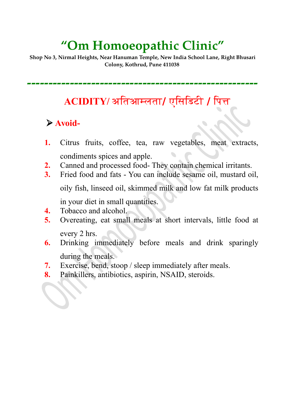# **"Om Homoeopathic Clinic"**

**Shop No 3, Nirmal Heights, Near Hanuman Temple, New India School Lane, Right Bhusari Colony, Kothrud, Pune 411038** 

**------------------------------------------------------**

## **ACIDITY/** अततआमलतत**/** एतसतडटट **/** तपत

### **Avoid-**

- **1.** Citrus fruits, coffee, tea, raw vegetables, meat extracts, condiments spices and apple.
- **2.** Canned and processed food- They contain chemical irritants.
- **3.** Fried food and fats You can include sesame oil, mustard oil, oily fish, linseed oil, skimmed milk and low fat milk products

in your diet in small quantities.

- **4.** Tobacco and alcohol.
- **5.** Overeating, eat small meals at short intervals, little food at every 2 hrs.
- **6.** Drinking immediately before meals and drink sparingly during the meals.
- **7.** Exercise, bend, stoop / sleep immediately after meals.
- **8.** Painkillers, antibiotics, aspirin, NSAID, steroids.